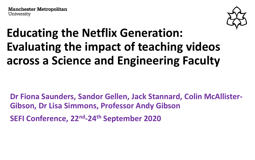

### **Educating the Netflix Generation: Evaluating the impact of teaching videos across a Science and Engineering Faculty**

**Dr Fiona Saunders, Sandor Gellen, Jack Stannard, Colin McAllister-Gibson, Dr Lisa Simmons, Professor Andy Gibson**

**SEFI Conference, 22nd -24th September 2020**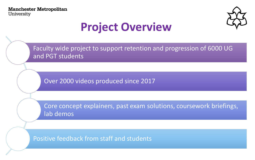

### **Project Overview**

Faculty wide project to support retention and progression of 6000 UG and PGT students

Over 2000 videos produced since 2017

Core concept explainers, past exam solutions, coursework briefings, lab demos

Positive feedback from staff and students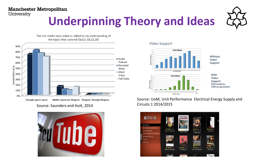# **Underpinning Theory and Ideas**

The rich-media tools aided or added to my understanding of the topics they covered (Qu13, 18,23,28)



Source: Saunders and Hutt, 2014



#### Video Support



Without Video Support



With Video Support (420 students. 100% progression)

Source: UoM, Unit Performance Electrical Energy Supply and Circuits 1 2014/2015

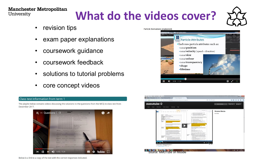# **What do the videos cover?**

**Particle Animations (explained)** 

- revision tips
- exam paper explanations
- coursework guidance
- coursework feedback
- solutions to tutorial problems
- core concept videos



रुके Particle Attributes · Each new particle attributes such as: · initial position · initial velocity (speed + direction)  $\cdot$  initial  $size$ · initial colour · initial transparency **•**shape ·lifetime  $\blacktriangleleft$  $0:30$  / 1:39



Below is a link to a copy of the test with the correct responses indicated.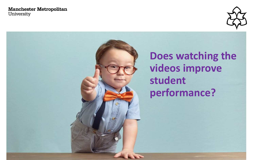

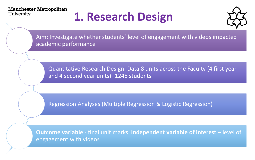# **1. Research Design**



Aim: Investigate whether students' level of engagement with videos impacted academic performance

Quantitative Research Design: Data 8 units across the Faculty (4 first year and 4 second year units)- 1248 students

Regression Analyses (Multiple Regression & Logistic Regression)

**Outcome variable** - final unit marks **Independent variable of interest** – level of engagement with videos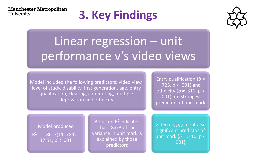# **3. Key Findings**



# Linear regression – unit performance v's video views

Model included the following predictors: video view, level of study, disability, first generation, age, entry qualification, clearing, commuting, multiple deprivation and ethnicity

Entry qualification (*b =* .725,  $p < .001$ ) and ethnicity (*b =* .311, p < .001) are strongest predictors of unit mark

Model produced  $R^2 = .186, F(11, 784) =$ 17.51, p < .001

Adjusted  $R^2$  indicates that 18.6% of the variance in unit mark is explained by those predictors

Video engagement also significant predictor of unit mark (*b =* .110, p < .001),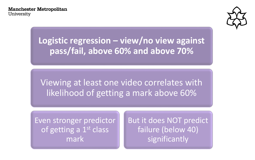

**Logistic regression – view/no view against pass/fail, above 60% and above 70%**

Viewing at least one video correlates with likelihood of getting a mark above 60%

Even stronger predictor of getting a  $1<sup>st</sup>$  class mark

But it does NOT predict failure (below 40) significantly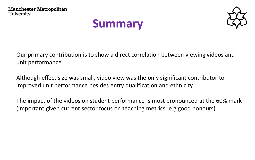### **Summary**



Our primary contribution is to show a direct correlation between viewing videos and unit performance

Although effect size was small, video view was the only significant contributor to improved unit performance besides entry qualification and ethnicity

The impact of the videos on student performance is most pronounced at the 60% mark (important given current sector focus on teaching metrics: e.g good honours)